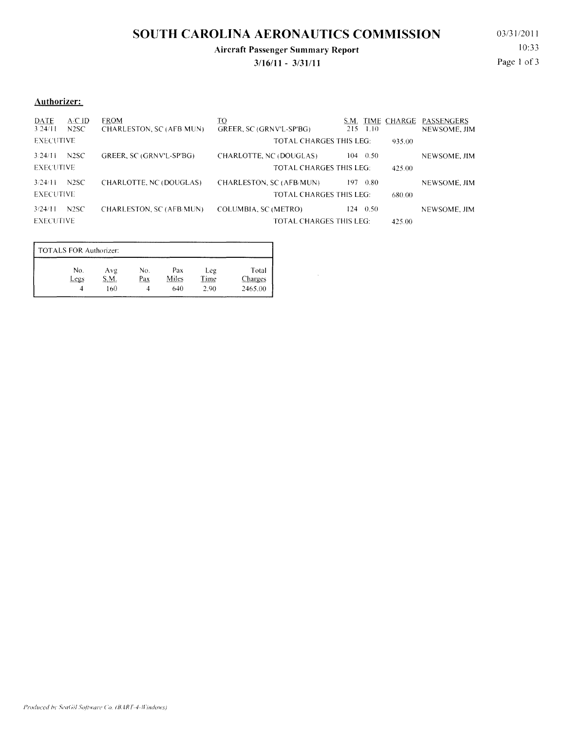# **SOUTH CAROLINA AERONAUTICS COMMISSION**

### **Aircraft Passenger Summary Report**

**3/16/11 - 3/31111** 

 $\bar{z}$ 

03/31/2011 10:33 Page I of 3

#### **Authorizer:**

| <b>DATE</b><br>324/11       | A/CID<br>N2SC     | <b>FROM</b><br>CHARLESTON, SC (AFB MUN) | <u>to</u><br>GREER, SC (GRNV'L-SP'BG)                     | S.M.<br>215<br>-1.10 |        | TIME CHARGE PASSENGERS<br>NEWSOME, JIM |
|-----------------------------|-------------------|-----------------------------------------|-----------------------------------------------------------|----------------------|--------|----------------------------------------|
| <b>EXECUTIVE</b>            |                   |                                         | TOTAL CHARGES THIS LEG:                                   |                      | 935.00 |                                        |
| 3.24/11<br><b>EXECUTIVE</b> | N <sub>2</sub> SC | GREER, SC (GRNV'L-SP'BG)                | CHARLOTTE, NC (DOUGLAS)<br><b>TOTAL CHARGES THIS LEG:</b> | $104 \quad 0.50$     | 425.00 | NEWSOME, JIM                           |
| 3/24/11<br><b>EXECUTIVE</b> | N <sub>2</sub> SC | CHARLOTTE, NC (DOUGLAS)                 | CHARLESTON, SC (AFB/MUN)<br>TOTAL CHARGES THIS LEG:       | 197.<br>0.80         | 680.00 | NEWSOME, JIM                           |
| 3/24/11<br><b>FXECUTIVE</b> | N <sub>2</sub> SC | CHARLESTON, SC (AFB MUN)                | COLUMBIA, SC (METRO)<br>TOTAL CHARGES THIS LEG:           | $124 \quad 0.50$     | 425.00 | NEWSOME, JIM                           |

| No.  | Avg | No. | Pax   | Leg         | Total   |
|------|-----|-----|-------|-------------|---------|
| Legs | .M  | Pax | Miles | <b>Time</b> | Charges |
|      | 160 |     | 640   | 2.90        | 2465.00 |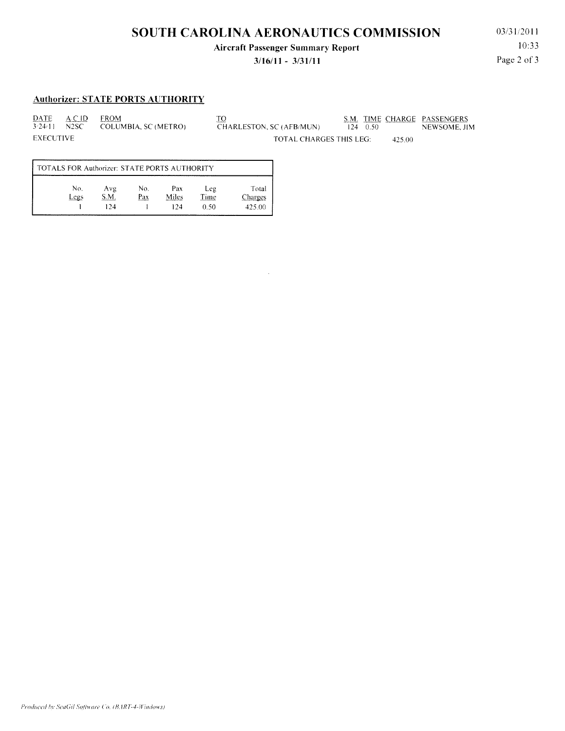# **SOUTH CAROLINA AERONAUTICS COMMISSION**

**Aircraft Passenger Summary Report** 

### **3/16/11 - 3/31111**

03/31;2011 10:33 Page 2 of 3

#### **Authorizer: STATE PORTS AUTHORITY**

DATE *\_&C* 10 FROM COLUMBIA, SC (METRO) EXECUTIVE

TO . S.M. TIME CHARGE PASSENGERS CHARLESTON, SC (AFB/MUN) 124 0.50 NEWSOME, JIM TOTAL CHARGES THIS LEG: 425.00

| TOTALS FOR Authorizer: STATE PORTS AUTHORITY |      |      |     |       |      |                |  |  |
|----------------------------------------------|------|------|-----|-------|------|----------------|--|--|
|                                              | No.  | Avg  | No. | Pax   | Leg  | Total          |  |  |
|                                              | Legs | S.M. | Pax | Miles | Time | <u>Charges</u> |  |  |
|                                              |      | 124  |     | 124   | 0.50 | 425.00         |  |  |